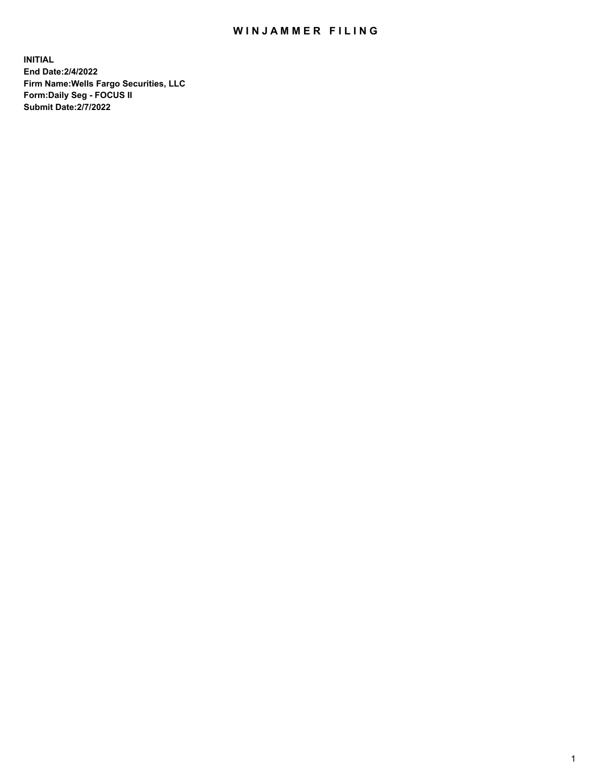## WIN JAMMER FILING

**INITIAL End Date:2/4/2022 Firm Name:Wells Fargo Securities, LLC Form:Daily Seg - FOCUS II Submit Date:2/7/2022**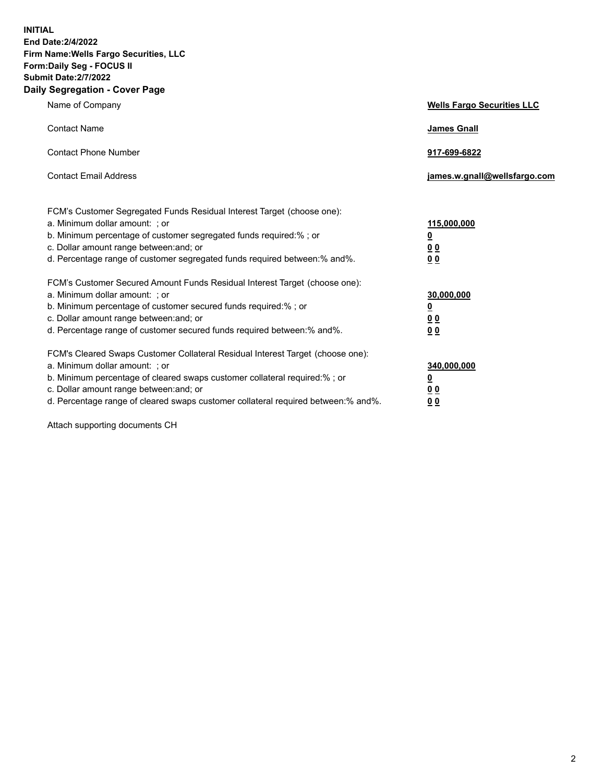**INITIAL End Date:2/4/2022 Firm Name:Wells Fargo Securities, LLC Form:Daily Seg - FOCUS II Submit Date:2/7/2022 Daily Segregation - Cover Page**

| Name of Company                                                                                                                                                                                                                                                                                                                | <b>Wells Fargo Securities LLC</b>              |
|--------------------------------------------------------------------------------------------------------------------------------------------------------------------------------------------------------------------------------------------------------------------------------------------------------------------------------|------------------------------------------------|
| <b>Contact Name</b>                                                                                                                                                                                                                                                                                                            | <b>James Gnall</b>                             |
| <b>Contact Phone Number</b>                                                                                                                                                                                                                                                                                                    | 917-699-6822                                   |
| <b>Contact Email Address</b>                                                                                                                                                                                                                                                                                                   | james.w.gnall@wellsfargo.com                   |
| FCM's Customer Segregated Funds Residual Interest Target (choose one):<br>a. Minimum dollar amount: ; or<br>b. Minimum percentage of customer segregated funds required:%; or<br>c. Dollar amount range between: and; or<br>d. Percentage range of customer segregated funds required between:% and%.                          | 115,000,000<br><u>0</u><br>0 Q<br>00           |
| FCM's Customer Secured Amount Funds Residual Interest Target (choose one):<br>a. Minimum dollar amount: ; or<br>b. Minimum percentage of customer secured funds required:%; or<br>c. Dollar amount range between: and; or<br>d. Percentage range of customer secured funds required between:% and%.                            | 30,000,000<br><u>0</u><br>00<br>0 <sub>0</sub> |
| FCM's Cleared Swaps Customer Collateral Residual Interest Target (choose one):<br>a. Minimum dollar amount: ; or<br>b. Minimum percentage of cleared swaps customer collateral required:% ; or<br>c. Dollar amount range between: and; or<br>d. Percentage range of cleared swaps customer collateral required between:% and%. | 340,000,000<br><u>0</u><br><u>00</u><br>00     |

Attach supporting documents CH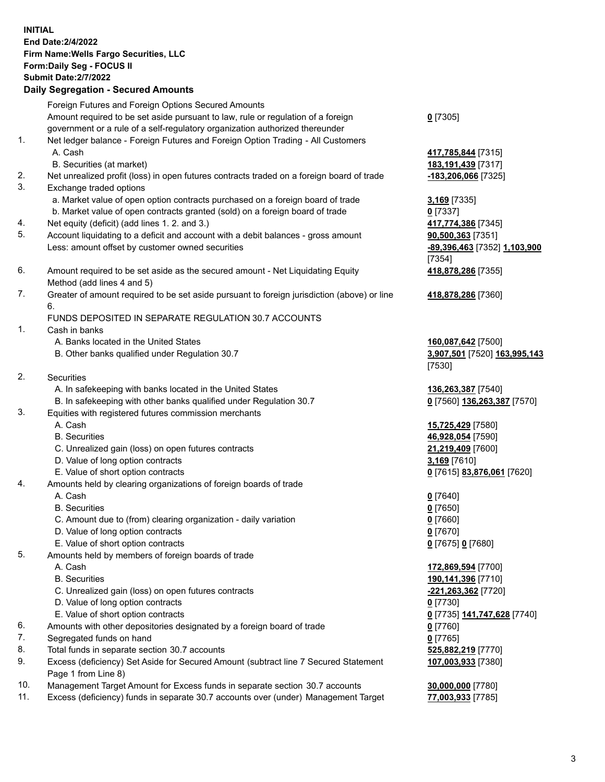**INITIAL End Date:2/4/2022 Firm Name:Wells Fargo Securities, LLC Form:Daily Seg - FOCUS II Submit Date:2/7/2022 Daily Segregation - Secured Amounts** Foreign Futures and Foreign Options Secured Amounts Amount required to be set aside pursuant to law, rule or regulation of a foreign government or a rule of a self-regulatory organization authorized thereunder **0** [7305] 1. Net ledger balance - Foreign Futures and Foreign Option Trading - All Customers A. Cash **417,785,844** [7315] B. Securities (at market) **183,191,439** [7317] 2. Net unrealized profit (loss) in open futures contracts traded on a foreign board of trade **-183,206,066** [7325] 3. Exchange traded options a. Market value of open option contracts purchased on a foreign board of trade **3,169** [7335] b. Market value of open contracts granted (sold) on a foreign board of trade **0** [7337] 4. Net equity (deficit) (add lines 1. 2. and 3.) **417,774,386** [7345] 5. Account liquidating to a deficit and account with a debit balances - gross amount **90,500,363** [7351] Less: amount offset by customer owned securities **-89,396,463** [7352] **1,103,900** [7354] 6. Amount required to be set aside as the secured amount - Net Liquidating Equity Method (add lines 4 and 5) **418,878,286** [7355] 7. Greater of amount required to be set aside pursuant to foreign jurisdiction (above) or line 6. **418,878,286** [7360] FUNDS DEPOSITED IN SEPARATE REGULATION 30.7 ACCOUNTS 1. Cash in banks A. Banks located in the United States **160,087,642** [7500] B. Other banks qualified under Regulation 30.7 **3,907,501** [7520] **163,995,143** [7530] 2. Securities A. In safekeeping with banks located in the United States **136,263,387** [7540] B. In safekeeping with other banks qualified under Regulation 30.7 **0** [7560] **136,263,387** [7570] 3. Equities with registered futures commission merchants A. Cash **15,725,429** [7580] B. Securities **46,928,054** [7590] C. Unrealized gain (loss) on open futures contracts **21,219,409** [7600] D. Value of long option contracts **3,169** [7610] E. Value of short option contracts **0** [7615] **83,876,061** [7620] 4. Amounts held by clearing organizations of foreign boards of trade A. Cash **0** [7640] B. Securities **0** [7650] C. Amount due to (from) clearing organization - daily variation **0** [7660] D. Value of long option contracts **0** [7670] E. Value of short option contracts **0** [7675] **0** [7680] 5. Amounts held by members of foreign boards of trade A. Cash **172,869,594** [7700] B. Securities **190,141,396** [7710] C. Unrealized gain (loss) on open futures contracts **-221,263,362** [7720] D. Value of long option contracts **0** [7730] E. Value of short option contracts **0** [7735] **141,747,628** [7740] 6. Amounts with other depositories designated by a foreign board of trade **0** [7760] 7. Segregated funds on hand **0** [7765] 8. Total funds in separate section 30.7 accounts **525,882,219** [7770] 9. Excess (deficiency) Set Aside for Secured Amount (subtract line 7 Secured Statement Page 1 from Line 8) **107,003,933** [7380] 10. Management Target Amount for Excess funds in separate section 30.7 accounts **30,000,000** [7780] 11. Excess (deficiency) funds in separate 30.7 accounts over (under) Management Target **77,003,933** [7785]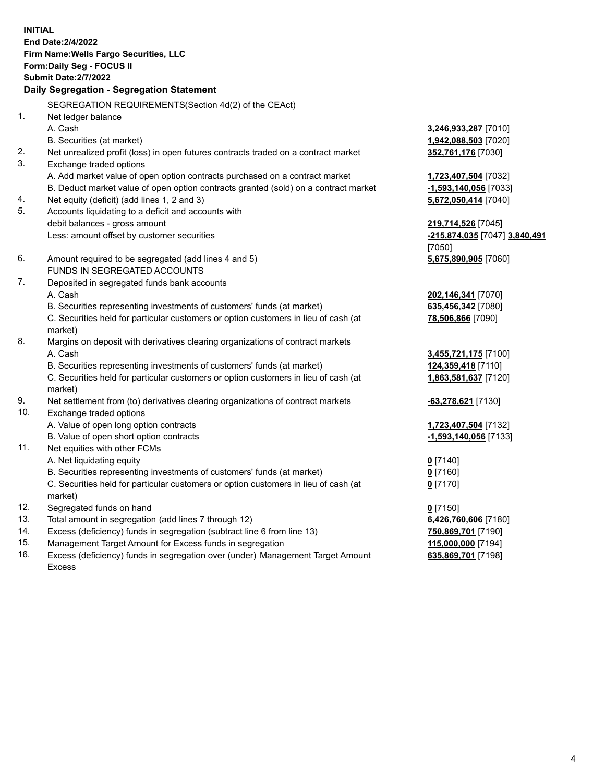**INITIAL End Date:2/4/2022 Firm Name:Wells Fargo Securities, LLC Form:Daily Seg - FOCUS II Submit Date:2/7/2022 Daily Segregation - Segregation Statement** SEGREGATION REQUIREMENTS(Section 4d(2) of the CEAct) 1. Net ledger balance A. Cash **3,246,933,287** [7010] B. Securities (at market) **1,942,088,503** [7020] 2. Net unrealized profit (loss) in open futures contracts traded on a contract market **352,761,176** [7030] 3. Exchange traded options A. Add market value of open option contracts purchased on a contract market **1,723,407,504** [7032] B. Deduct market value of open option contracts granted (sold) on a contract market **-1,593,140,056** [7033] 4. Net equity (deficit) (add lines 1, 2 and 3) **5,672,050,414** [7040] 5. Accounts liquidating to a deficit and accounts with debit balances - gross amount **219,714,526** [7045] Less: amount offset by customer securities **-215,874,035** [7047] **3,840,491** [7050] 6. Amount required to be segregated (add lines 4 and 5) **5,675,890,905** [7060] FUNDS IN SEGREGATED ACCOUNTS 7. Deposited in segregated funds bank accounts A. Cash **202,146,341** [7070] B. Securities representing investments of customers' funds (at market) **635,456,342** [7080] C. Securities held for particular customers or option customers in lieu of cash (at market) **78,506,866** [7090] 8. Margins on deposit with derivatives clearing organizations of contract markets A. Cash **3,455,721,175** [7100] B. Securities representing investments of customers' funds (at market) **124,359,418** [7110] C. Securities held for particular customers or option customers in lieu of cash (at market) **1,863,581,637** [7120] 9. Net settlement from (to) derivatives clearing organizations of contract markets **-63,278,621** [7130] 10. Exchange traded options A. Value of open long option contracts **1,723,407,504** [7132] B. Value of open short option contracts **-1,593,140,056** [7133] 11. Net equities with other FCMs A. Net liquidating equity **0** [7140] B. Securities representing investments of customers' funds (at market) **0** [7160] C. Securities held for particular customers or option customers in lieu of cash (at market) **0** [7170] 12. Segregated funds on hand **0** [7150] 13. Total amount in segregation (add lines 7 through 12) **6,426,760,606** [7180] 14. Excess (deficiency) funds in segregation (subtract line 6 from line 13) **750,869,701** [7190] 15. Management Target Amount for Excess funds in segregation **115,000,000** [7194] 16. Excess (deficiency) funds in segregation over (under) Management Target Amount **635,869,701** [7198]

Excess